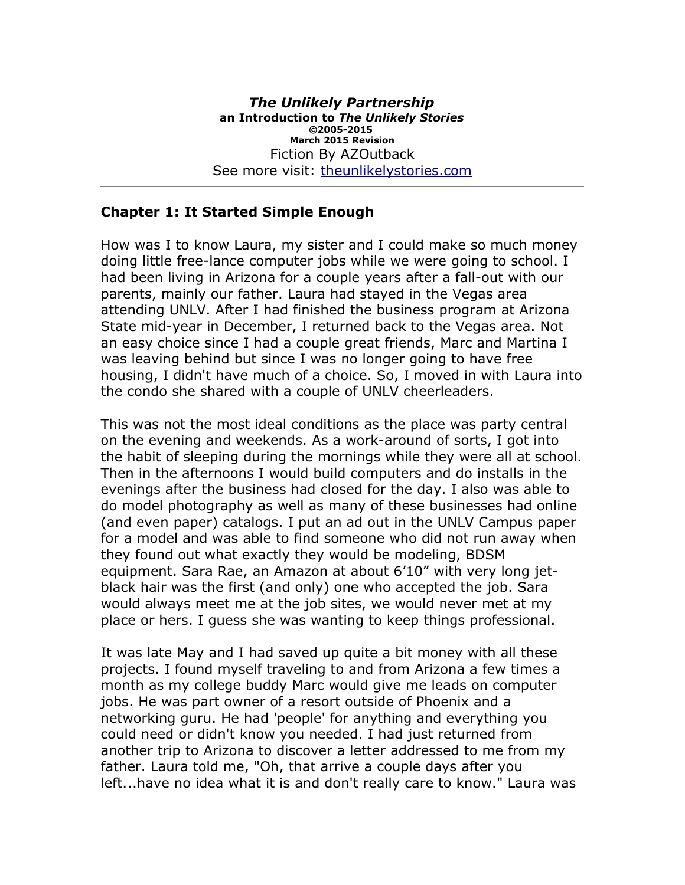### **Chapter 1: It Started Simple Enough**

How was I to know Laura, my sister and I could make so much money doing little free-lance computer jobs while we were going to school. I had been living in Arizona for a couple years after a fall-out with our parents, mainly our father. Laura had stayed in the Vegas area attending UNLV. After I had finished the business program at Arizona State mid-year in December, I returned back to the Vegas area. Not an easy choice since I had a couple great friends, Marc and Martina I was leaving behind but since I was no longer going to have free housing, I didn't have much of a choice. So, I moved in with Laura into the condo she shared with a couple of UNLV cheerleaders.

This was not the most ideal conditions as the place was party central on the evening and weekends. As a work-around of sorts, I got into the habit of sleeping during the mornings while they were all at school. Then in the afternoons I would build computers and do installs in the evenings after the business had closed for the day. I also was able to do model photography as well as many of these businesses had online (and even paper) catalogs. I put an ad out in the UNLV Campus paper for a model and was able to find someone who did not run away when they found out what exactly they would be modeling, BDSM equipment. Sara Rae, an Amazon at about 6'10" with very long jetblack hair was the first (and only) one who accepted the job. Sara would always meet me at the job sites, we would never met at my place or hers. I guess she was wanting to keep things professional.

It was late May and I had saved up quite a bit money with all these projects. I found myself traveling to and from Arizona a few times a month as my college buddy Marc would give me leads on computer jobs. He was part owner of a resort outside of Phoenix and a networking guru. He had 'people' for anything and everything you could need or didn't know you needed. I had just returned from another trip to Arizona to discover a letter addressed to me from my father. Laura told me, "Oh, that arrive a couple days after you left...have no idea what it is and don't really care to know." Laura was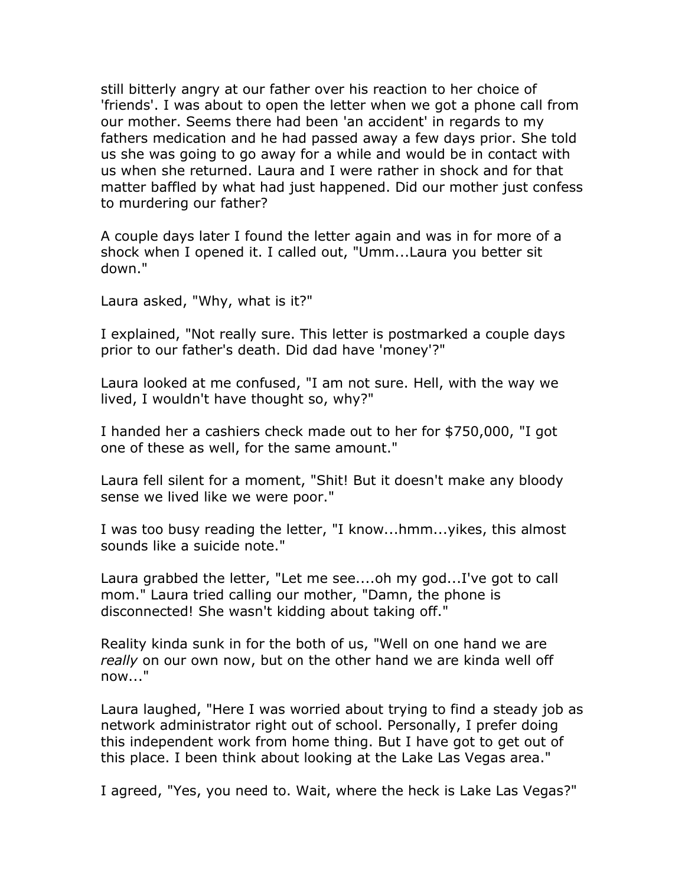still bitterly angry at our father over his reaction to her choice of 'friends'. I was about to open the letter when we got a phone call from our mother. Seems there had been 'an accident' in regards to my fathers medication and he had passed away a few days prior. She told us she was going to go away for a while and would be in contact with us when she returned. Laura and I were rather in shock and for that matter baffled by what had just happened. Did our mother just confess to murdering our father?

A couple days later I found the letter again and was in for more of a shock when I opened it. I called out, "Umm...Laura you better sit down."

Laura asked, "Why, what is it?"

I explained, "Not really sure. This letter is postmarked a couple days prior to our father's death. Did dad have 'money'?"

Laura looked at me confused, "I am not sure. Hell, with the way we lived, I wouldn't have thought so, why?"

I handed her a cashiers check made out to her for \$750,000, "I got one of these as well, for the same amount."

Laura fell silent for a moment, "Shit! But it doesn't make any bloody sense we lived like we were poor."

I was too busy reading the letter, "I know...hmm...yikes, this almost sounds like a suicide note."

Laura grabbed the letter, "Let me see....oh my god...I've got to call mom." Laura tried calling our mother, "Damn, the phone is disconnected! She wasn't kidding about taking off."

Reality kinda sunk in for the both of us, "Well on one hand we are *really* on our own now, but on the other hand we are kinda well off now..."

Laura laughed, "Here I was worried about trying to find a steady job as network administrator right out of school. Personally, I prefer doing this independent work from home thing. But I have got to get out of this place. I been think about looking at the Lake Las Vegas area."

I agreed, "Yes, you need to. Wait, where the heck is Lake Las Vegas?"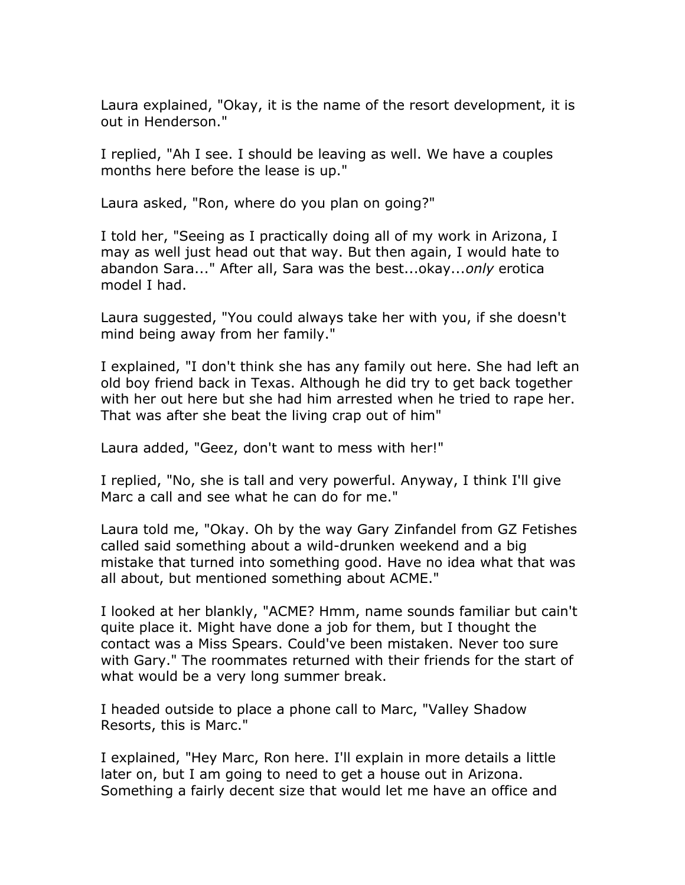Laura explained, "Okay, it is the name of the resort development, it is out in Henderson."

I replied, "Ah I see. I should be leaving as well. We have a couples months here before the lease is up."

Laura asked, "Ron, where do you plan on going?"

I told her, "Seeing as I practically doing all of my work in Arizona, I may as well just head out that way. But then again, I would hate to abandon Sara..." After all, Sara was the best...okay...*only* erotica model I had.

Laura suggested, "You could always take her with you, if she doesn't mind being away from her family."

I explained, "I don't think she has any family out here. She had left an old boy friend back in Texas. Although he did try to get back together with her out here but she had him arrested when he tried to rape her. That was after she beat the living crap out of him"

Laura added, "Geez, don't want to mess with her!"

I replied, "No, she is tall and very powerful. Anyway, I think I'll give Marc a call and see what he can do for me."

Laura told me, "Okay. Oh by the way Gary Zinfandel from GZ Fetishes called said something about a wild-drunken weekend and a big mistake that turned into something good. Have no idea what that was all about, but mentioned something about ACME."

I looked at her blankly, "ACME? Hmm, name sounds familiar but cain't quite place it. Might have done a job for them, but I thought the contact was a Miss Spears. Could've been mistaken. Never too sure with Gary." The roommates returned with their friends for the start of what would be a very long summer break.

I headed outside to place a phone call to Marc, "Valley Shadow Resorts, this is Marc."

I explained, "Hey Marc, Ron here. I'll explain in more details a little later on, but I am going to need to get a house out in Arizona. Something a fairly decent size that would let me have an office and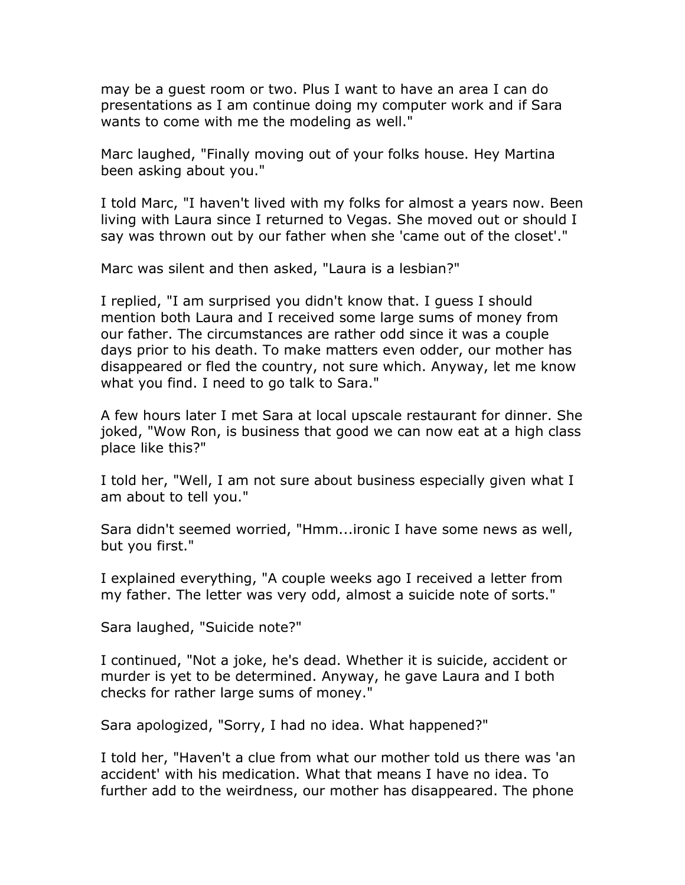may be a guest room or two. Plus I want to have an area I can do presentations as I am continue doing my computer work and if Sara wants to come with me the modeling as well."

Marc laughed, "Finally moving out of your folks house. Hey Martina been asking about you."

I told Marc, "I haven't lived with my folks for almost a years now. Been living with Laura since I returned to Vegas. She moved out or should I say was thrown out by our father when she 'came out of the closet'."

Marc was silent and then asked, "Laura is a lesbian?"

I replied, "I am surprised you didn't know that. I guess I should mention both Laura and I received some large sums of money from our father. The circumstances are rather odd since it was a couple days prior to his death. To make matters even odder, our mother has disappeared or fled the country, not sure which. Anyway, let me know what you find. I need to go talk to Sara."

A few hours later I met Sara at local upscale restaurant for dinner. She joked, "Wow Ron, is business that good we can now eat at a high class place like this?"

I told her, "Well, I am not sure about business especially given what I am about to tell you."

Sara didn't seemed worried, "Hmm...ironic I have some news as well, but you first."

I explained everything, "A couple weeks ago I received a letter from my father. The letter was very odd, almost a suicide note of sorts."

Sara laughed, "Suicide note?"

I continued, "Not a joke, he's dead. Whether it is suicide, accident or murder is yet to be determined. Anyway, he gave Laura and I both checks for rather large sums of money."

Sara apologized, "Sorry, I had no idea. What happened?"

I told her, "Haven't a clue from what our mother told us there was 'an accident' with his medication. What that means I have no idea. To further add to the weirdness, our mother has disappeared. The phone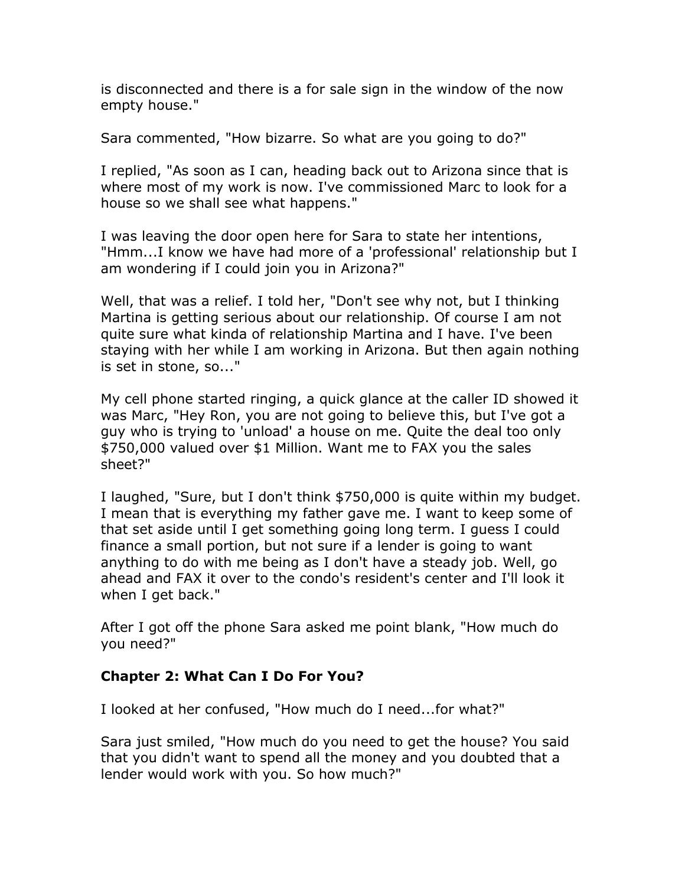is disconnected and there is a for sale sign in the window of the now empty house."

Sara commented, "How bizarre. So what are you going to do?"

I replied, "As soon as I can, heading back out to Arizona since that is where most of my work is now. I've commissioned Marc to look for a house so we shall see what happens."

I was leaving the door open here for Sara to state her intentions, "Hmm...I know we have had more of a 'professional' relationship but I am wondering if I could join you in Arizona?"

Well, that was a relief. I told her, "Don't see why not, but I thinking Martina is getting serious about our relationship. Of course I am not quite sure what kinda of relationship Martina and I have. I've been staying with her while I am working in Arizona. But then again nothing is set in stone, so..."

My cell phone started ringing, a quick glance at the caller ID showed it was Marc, "Hey Ron, you are not going to believe this, but I've got a guy who is trying to 'unload' a house on me. Quite the deal too only \$750,000 valued over \$1 Million. Want me to FAX you the sales sheet?"

I laughed, "Sure, but I don't think \$750,000 is quite within my budget. I mean that is everything my father gave me. I want to keep some of that set aside until I get something going long term. I guess I could finance a small portion, but not sure if a lender is going to want anything to do with me being as I don't have a steady job. Well, go ahead and FAX it over to the condo's resident's center and I'll look it when I get back."

After I got off the phone Sara asked me point blank, "How much do you need?"

# **Chapter 2: What Can I Do For You?**

I looked at her confused, "How much do I need...for what?"

Sara just smiled, "How much do you need to get the house? You said that you didn't want to spend all the money and you doubted that a lender would work with you. So how much?"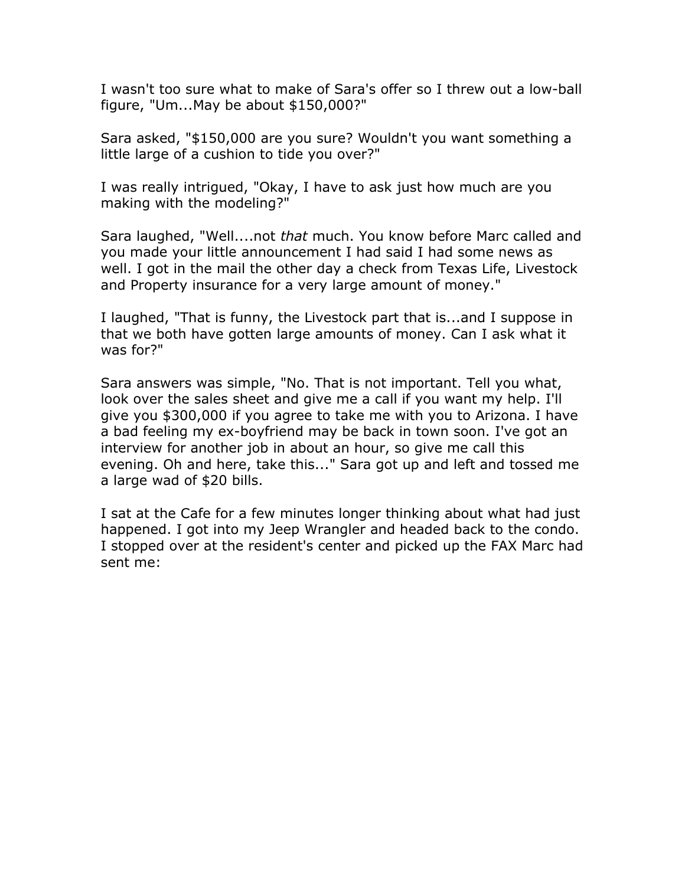I wasn't too sure what to make of Sara's offer so I threw out a low-ball figure, "Um...May be about \$150,000?"

Sara asked, "\$150,000 are you sure? Wouldn't you want something a little large of a cushion to tide you over?"

I was really intrigued, "Okay, I have to ask just how much are you making with the modeling?"

Sara laughed, "Well....not *that* much. You know before Marc called and you made your little announcement I had said I had some news as well. I got in the mail the other day a check from Texas Life, Livestock and Property insurance for a very large amount of money."

I laughed, "That is funny, the Livestock part that is...and I suppose in that we both have gotten large amounts of money. Can I ask what it was for?"

Sara answers was simple, "No. That is not important. Tell you what, look over the sales sheet and give me a call if you want my help. I'll give you \$300,000 if you agree to take me with you to Arizona. I have a bad feeling my ex-boyfriend may be back in town soon. I've got an interview for another job in about an hour, so give me call this evening. Oh and here, take this..." Sara got up and left and tossed me a large wad of \$20 bills.

I sat at the Cafe for a few minutes longer thinking about what had just happened. I got into my Jeep Wrangler and headed back to the condo. I stopped over at the resident's center and picked up the FAX Marc had sent me: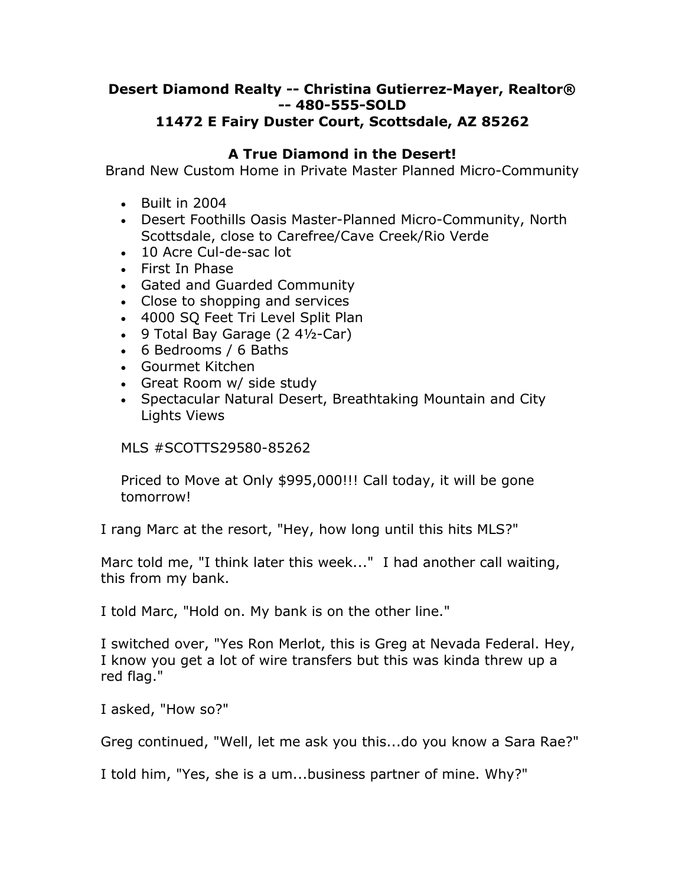#### **Desert Diamond Realty -- Christina Gutierrez-Mayer, Realtor® -- 480-555-SOLD 11472 E Fairy Duster Court, Scottsdale, AZ 85262**

## **A True Diamond in the Desert!**

Brand New Custom Home in Private Master Planned Micro-Community

- Built in 2004
- Desert Foothills Oasis Master-Planned Micro-Community, North Scottsdale, close to Carefree/Cave Creek/Rio Verde
- 10 Acre Cul-de-sac lot
- First In Phase
- Gated and Guarded Community
- Close to shopping and services
- 4000 SQ Feet Tri Level Split Plan
- 9 Total Bay Garage (2 4½-Car)
- 6 Bedrooms / 6 Baths
- Gourmet Kitchen
- Great Room w/ side study
- Spectacular Natural Desert, Breathtaking Mountain and City Lights Views

### MLS #SCOTTS29580-85262

Priced to Move at Only \$995,000!!! Call today, it will be gone tomorrow!

I rang Marc at the resort, "Hey, how long until this hits MLS?"

Marc told me, "I think later this week..." I had another call waiting, this from my bank.

I told Marc, "Hold on. My bank is on the other line."

I switched over, "Yes Ron Merlot, this is Greg at Nevada Federal. Hey, I know you get a lot of wire transfers but this was kinda threw up a red flag."

I asked, "How so?"

Greg continued, "Well, let me ask you this...do you know a Sara Rae?"

I told him, "Yes, she is a um...business partner of mine. Why?"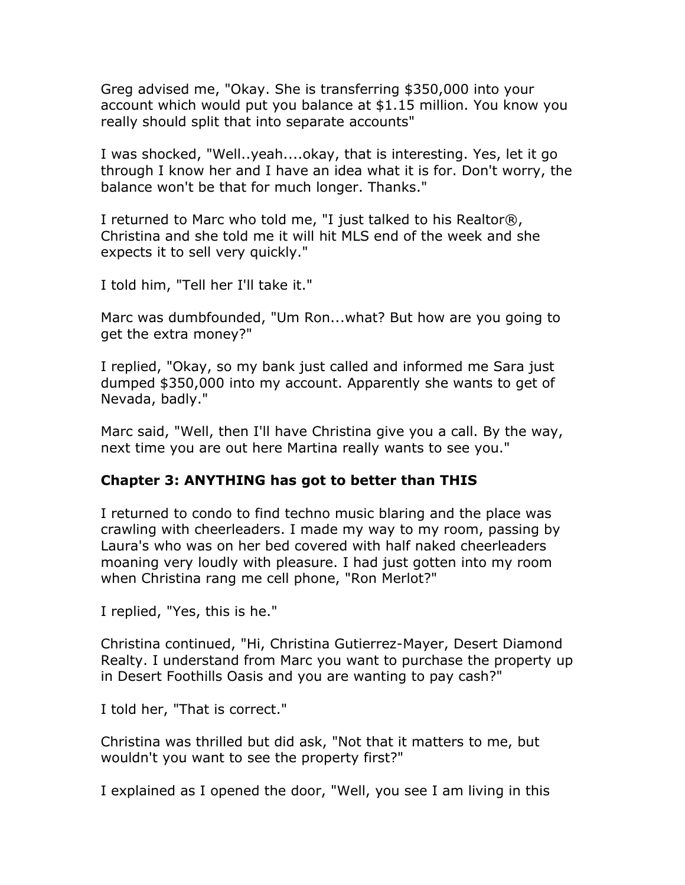Greg advised me, "Okay. She is transferring \$350,000 into your account which would put you balance at \$1.15 million. You know you really should split that into separate accounts"

I was shocked, "Well..yeah....okay, that is interesting. Yes, let it go through I know her and I have an idea what it is for. Don't worry, the balance won't be that for much longer. Thanks."

I returned to Marc who told me, "I just talked to his Realtor®, Christina and she told me it will hit MLS end of the week and she expects it to sell very quickly."

I told him, "Tell her I'll take it."

Marc was dumbfounded, "Um Ron...what? But how are you going to get the extra money?"

I replied, "Okay, so my bank just called and informed me Sara just dumped \$350,000 into my account. Apparently she wants to get of Nevada, badly."

Marc said, "Well, then I'll have Christina give you a call. By the way, next time you are out here Martina really wants to see you."

### **Chapter 3: ANYTHING has got to better than THIS**

I returned to condo to find techno music blaring and the place was crawling with cheerleaders. I made my way to my room, passing by Laura's who was on her bed covered with half naked cheerleaders moaning very loudly with pleasure. I had just gotten into my room when Christina rang me cell phone, "Ron Merlot?"

I replied, "Yes, this is he."

Christina continued, "Hi, Christina Gutierrez-Mayer, Desert Diamond Realty. I understand from Marc you want to purchase the property up in Desert Foothills Oasis and you are wanting to pay cash?"

I told her, "That is correct."

Christina was thrilled but did ask, "Not that it matters to me, but wouldn't you want to see the property first?"

I explained as I opened the door, "Well, you see I am living in this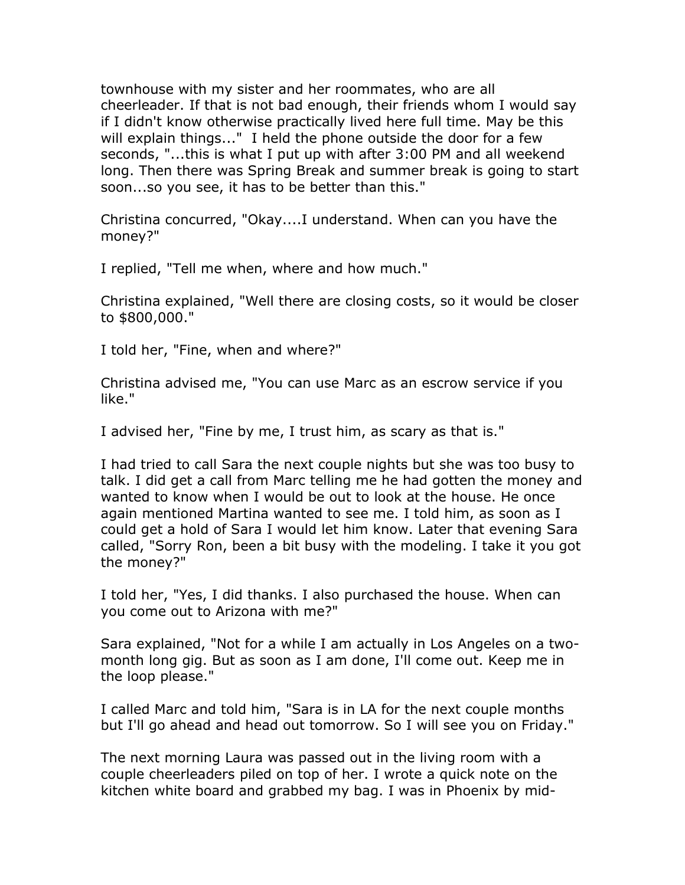townhouse with my sister and her roommates, who are all cheerleader. If that is not bad enough, their friends whom I would say if I didn't know otherwise practically lived here full time. May be this will explain things..." I held the phone outside the door for a few seconds, "...this is what I put up with after 3:00 PM and all weekend long. Then there was Spring Break and summer break is going to start soon...so you see, it has to be better than this."

Christina concurred, "Okay....I understand. When can you have the money?"

I replied, "Tell me when, where and how much."

Christina explained, "Well there are closing costs, so it would be closer to \$800,000."

I told her, "Fine, when and where?"

Christina advised me, "You can use Marc as an escrow service if you like."

I advised her, "Fine by me, I trust him, as scary as that is."

I had tried to call Sara the next couple nights but she was too busy to talk. I did get a call from Marc telling me he had gotten the money and wanted to know when I would be out to look at the house. He once again mentioned Martina wanted to see me. I told him, as soon as I could get a hold of Sara I would let him know. Later that evening Sara called, "Sorry Ron, been a bit busy with the modeling. I take it you got the money?"

I told her, "Yes, I did thanks. I also purchased the house. When can you come out to Arizona with me?"

Sara explained, "Not for a while I am actually in Los Angeles on a twomonth long gig. But as soon as I am done, I'll come out. Keep me in the loop please."

I called Marc and told him, "Sara is in LA for the next couple months but I'll go ahead and head out tomorrow. So I will see you on Friday."

The next morning Laura was passed out in the living room with a couple cheerleaders piled on top of her. I wrote a quick note on the kitchen white board and grabbed my bag. I was in Phoenix by mid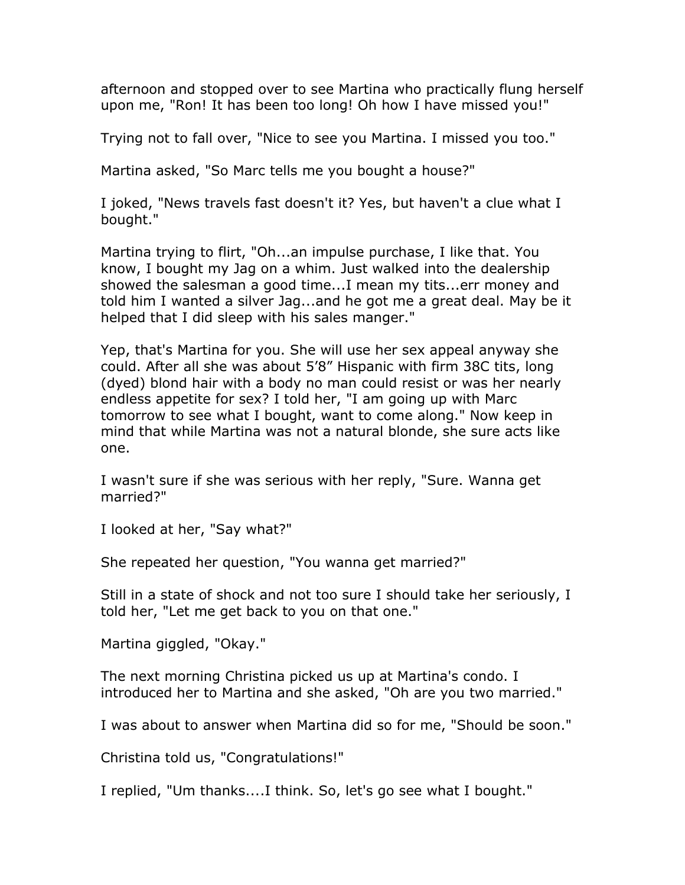afternoon and stopped over to see Martina who practically flung herself upon me, "Ron! It has been too long! Oh how I have missed you!"

Trying not to fall over, "Nice to see you Martina. I missed you too."

Martina asked, "So Marc tells me you bought a house?"

I joked, "News travels fast doesn't it? Yes, but haven't a clue what I bought."

Martina trying to flirt, "Oh...an impulse purchase, I like that. You know, I bought my Jag on a whim. Just walked into the dealership showed the salesman a good time...I mean my tits...err money and told him I wanted a silver Jag...and he got me a great deal. May be it helped that I did sleep with his sales manger."

Yep, that's Martina for you. She will use her sex appeal anyway she could. After all she was about 5'8" Hispanic with firm 38C tits, long (dyed) blond hair with a body no man could resist or was her nearly endless appetite for sex? I told her, "I am going up with Marc tomorrow to see what I bought, want to come along." Now keep in mind that while Martina was not a natural blonde, she sure acts like one.

I wasn't sure if she was serious with her reply, "Sure. Wanna get married?"

I looked at her, "Say what?"

She repeated her question, "You wanna get married?"

Still in a state of shock and not too sure I should take her seriously, I told her, "Let me get back to you on that one."

Martina giggled, "Okay."

The next morning Christina picked us up at Martina's condo. I introduced her to Martina and she asked, "Oh are you two married."

I was about to answer when Martina did so for me, "Should be soon."

Christina told us, "Congratulations!"

I replied, "Um thanks....I think. So, let's go see what I bought."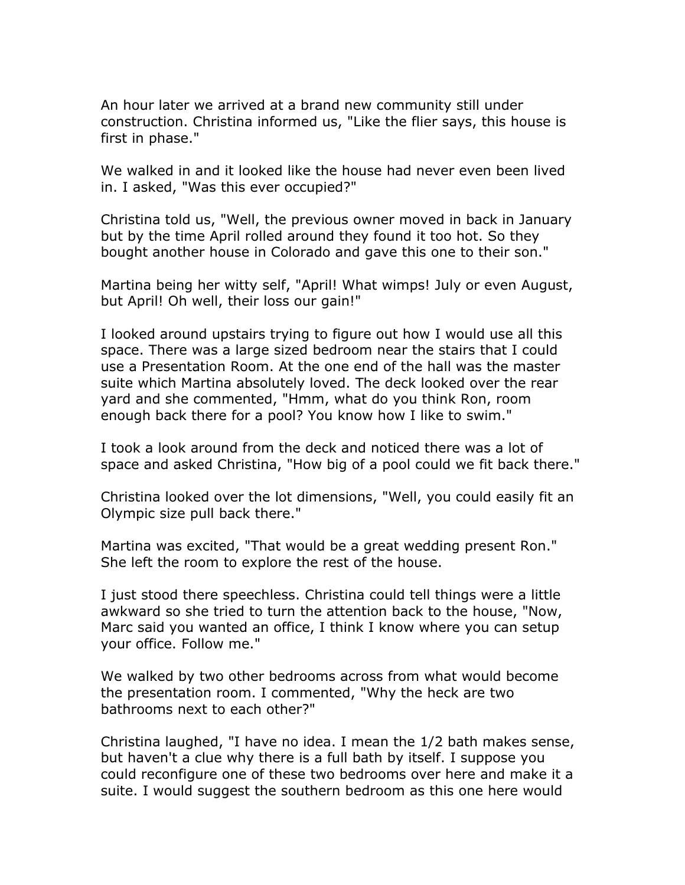An hour later we arrived at a brand new community still under construction. Christina informed us, "Like the flier says, this house is first in phase."

We walked in and it looked like the house had never even been lived in. I asked, "Was this ever occupied?"

Christina told us, "Well, the previous owner moved in back in January but by the time April rolled around they found it too hot. So they bought another house in Colorado and gave this one to their son."

Martina being her witty self, "April! What wimps! July or even August, but April! Oh well, their loss our gain!"

I looked around upstairs trying to figure out how I would use all this space. There was a large sized bedroom near the stairs that I could use a Presentation Room. At the one end of the hall was the master suite which Martina absolutely loved. The deck looked over the rear yard and she commented, "Hmm, what do you think Ron, room enough back there for a pool? You know how I like to swim."

I took a look around from the deck and noticed there was a lot of space and asked Christina, "How big of a pool could we fit back there."

Christina looked over the lot dimensions, "Well, you could easily fit an Olympic size pull back there."

Martina was excited, "That would be a great wedding present Ron." She left the room to explore the rest of the house.

I just stood there speechless. Christina could tell things were a little awkward so she tried to turn the attention back to the house, "Now, Marc said you wanted an office, I think I know where you can setup your office. Follow me."

We walked by two other bedrooms across from what would become the presentation room. I commented, "Why the heck are two bathrooms next to each other?"

Christina laughed, "I have no idea. I mean the 1/2 bath makes sense, but haven't a clue why there is a full bath by itself. I suppose you could reconfigure one of these two bedrooms over here and make it a suite. I would suggest the southern bedroom as this one here would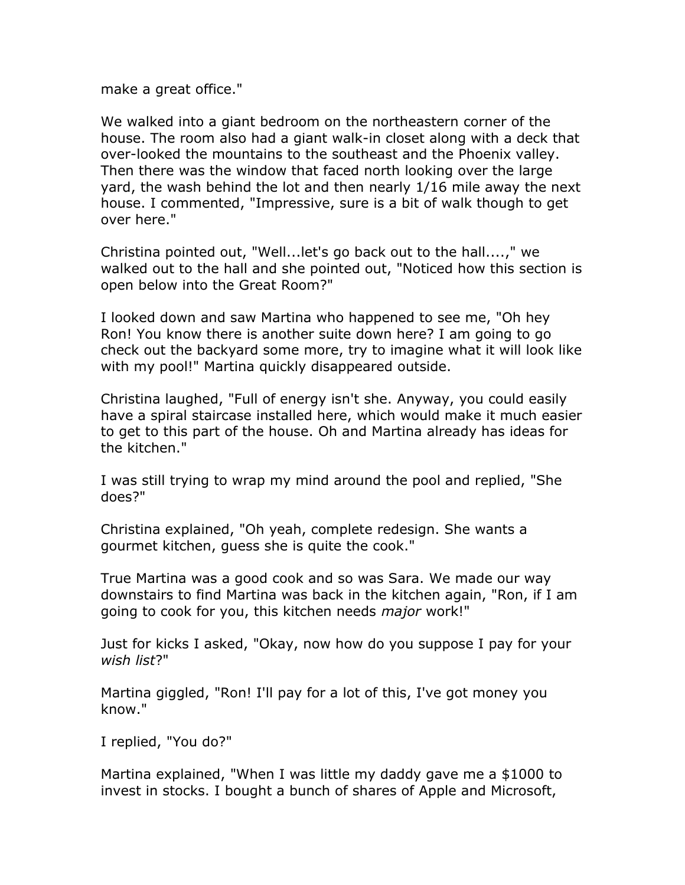make a great office."

We walked into a giant bedroom on the northeastern corner of the house. The room also had a giant walk-in closet along with a deck that over-looked the mountains to the southeast and the Phoenix valley. Then there was the window that faced north looking over the large yard, the wash behind the lot and then nearly 1/16 mile away the next house. I commented, "Impressive, sure is a bit of walk though to get over here."

Christina pointed out, "Well...let's go back out to the hall....," we walked out to the hall and she pointed out, "Noticed how this section is open below into the Great Room?"

I looked down and saw Martina who happened to see me, "Oh hey Ron! You know there is another suite down here? I am going to go check out the backyard some more, try to imagine what it will look like with my pool!" Martina quickly disappeared outside.

Christina laughed, "Full of energy isn't she. Anyway, you could easily have a spiral staircase installed here, which would make it much easier to get to this part of the house. Oh and Martina already has ideas for the kitchen."

I was still trying to wrap my mind around the pool and replied, "She does?"

Christina explained, "Oh yeah, complete redesign. She wants a gourmet kitchen, guess she is quite the cook."

True Martina was a good cook and so was Sara. We made our way downstairs to find Martina was back in the kitchen again, "Ron, if I am going to cook for you, this kitchen needs *major* work!"

Just for kicks I asked, "Okay, now how do you suppose I pay for your *wish list*?"

Martina giggled, "Ron! I'll pay for a lot of this, I've got money you know."

I replied, "You do?"

Martina explained, "When I was little my daddy gave me a \$1000 to invest in stocks. I bought a bunch of shares of Apple and Microsoft,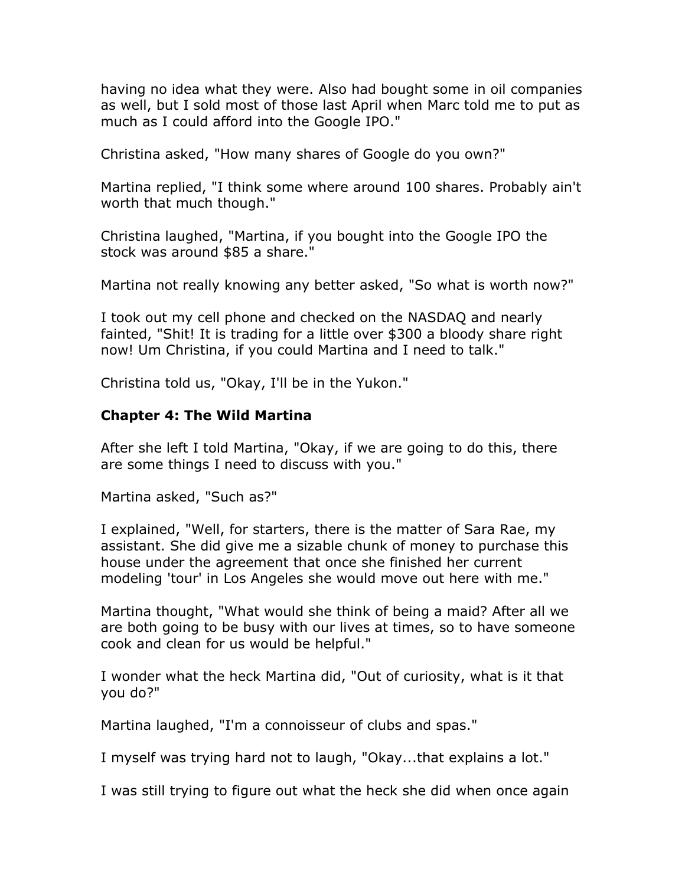having no idea what they were. Also had bought some in oil companies as well, but I sold most of those last April when Marc told me to put as much as I could afford into the Google IPO."

Christina asked, "How many shares of Google do you own?"

Martina replied, "I think some where around 100 shares. Probably ain't worth that much though."

Christina laughed, "Martina, if you bought into the Google IPO the stock was around \$85 a share."

Martina not really knowing any better asked, "So what is worth now?"

I took out my cell phone and checked on the NASDAQ and nearly fainted, "Shit! It is trading for a little over \$300 a bloody share right now! Um Christina, if you could Martina and I need to talk."

Christina told us, "Okay, I'll be in the Yukon."

#### **Chapter 4: The Wild Martina**

After she left I told Martina, "Okay, if we are going to do this, there are some things I need to discuss with you."

Martina asked, "Such as?"

I explained, "Well, for starters, there is the matter of Sara Rae, my assistant. She did give me a sizable chunk of money to purchase this house under the agreement that once she finished her current modeling 'tour' in Los Angeles she would move out here with me."

Martina thought, "What would she think of being a maid? After all we are both going to be busy with our lives at times, so to have someone cook and clean for us would be helpful."

I wonder what the heck Martina did, "Out of curiosity, what is it that you do?"

Martina laughed, "I'm a connoisseur of clubs and spas."

I myself was trying hard not to laugh, "Okay...that explains a lot."

I was still trying to figure out what the heck she did when once again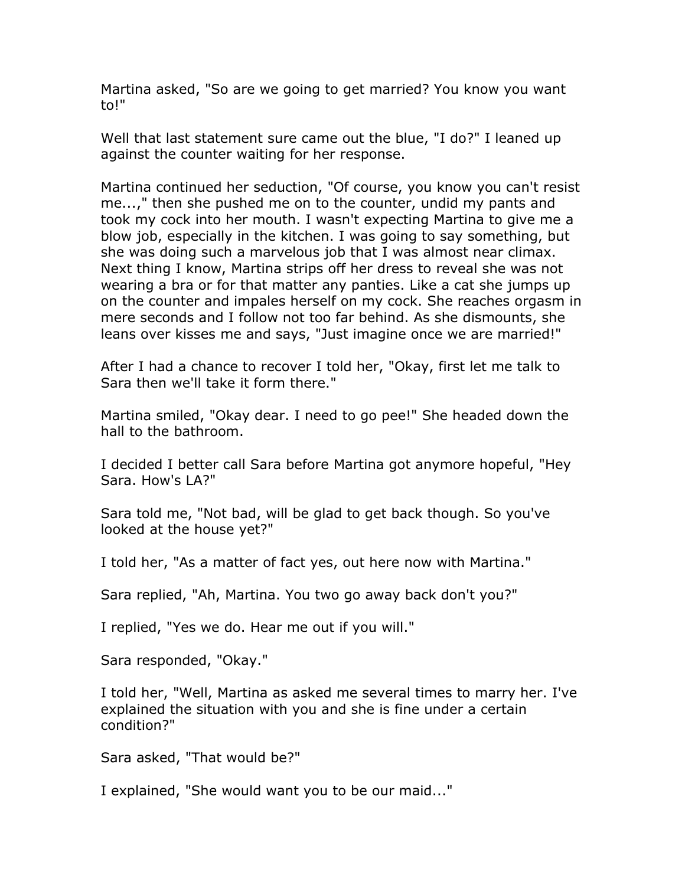Martina asked, "So are we going to get married? You know you want to!"

Well that last statement sure came out the blue, "I do?" I leaned up against the counter waiting for her response.

Martina continued her seduction, "Of course, you know you can't resist me...," then she pushed me on to the counter, undid my pants and took my cock into her mouth. I wasn't expecting Martina to give me a blow job, especially in the kitchen. I was going to say something, but she was doing such a marvelous job that I was almost near climax. Next thing I know, Martina strips off her dress to reveal she was not wearing a bra or for that matter any panties. Like a cat she jumps up on the counter and impales herself on my cock. She reaches orgasm in mere seconds and I follow not too far behind. As she dismounts, she leans over kisses me and says, "Just imagine once we are married!"

After I had a chance to recover I told her, "Okay, first let me talk to Sara then we'll take it form there."

Martina smiled, "Okay dear. I need to go pee!" She headed down the hall to the bathroom.

I decided I better call Sara before Martina got anymore hopeful, "Hey Sara. How's LA?"

Sara told me, "Not bad, will be glad to get back though. So you've looked at the house yet?"

I told her, "As a matter of fact yes, out here now with Martina."

Sara replied, "Ah, Martina. You two go away back don't you?"

I replied, "Yes we do. Hear me out if you will."

Sara responded, "Okay."

I told her, "Well, Martina as asked me several times to marry her. I've explained the situation with you and she is fine under a certain condition?"

Sara asked, "That would be?"

I explained, "She would want you to be our maid..."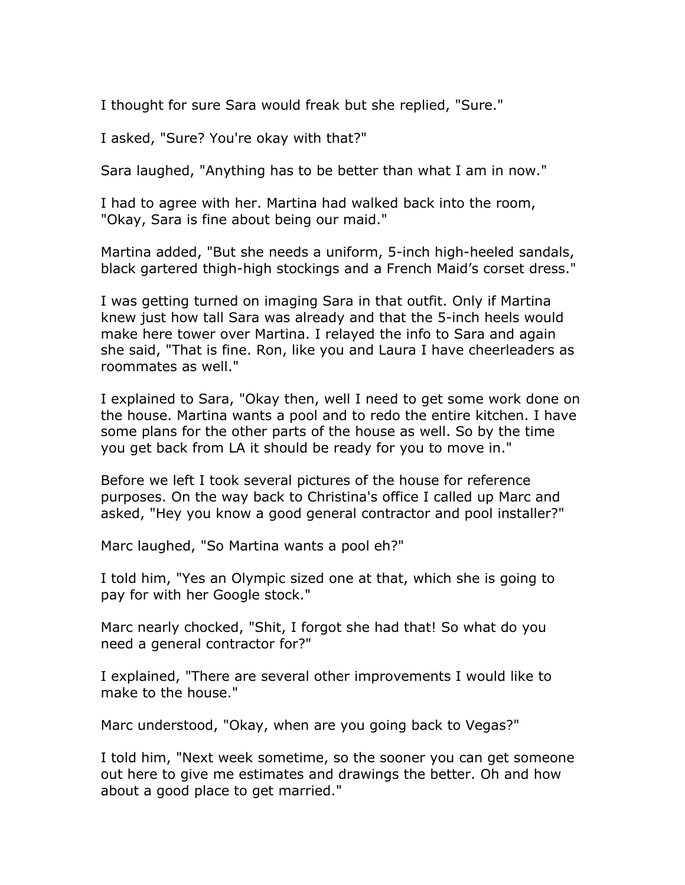I thought for sure Sara would freak but she replied, "Sure."

I asked, "Sure? You're okay with that?"

Sara laughed, "Anything has to be better than what I am in now."

I had to agree with her. Martina had walked back into the room, "Okay, Sara is fine about being our maid."

Martina added, "But she needs a uniform, 5-inch high-heeled sandals, black gartered thigh-high stockings and a French Maid's corset dress."

I was getting turned on imaging Sara in that outfit. Only if Martina knew just how tall Sara was already and that the 5-inch heels would make here tower over Martina. I relayed the info to Sara and again she said, "That is fine. Ron, like you and Laura I have cheerleaders as roommates as well."

I explained to Sara, "Okay then, well I need to get some work done on the house. Martina wants a pool and to redo the entire kitchen. I have some plans for the other parts of the house as well. So by the time you get back from LA it should be ready for you to move in."

Before we left I took several pictures of the house for reference purposes. On the way back to Christina's office I called up Marc and asked, "Hey you know a good general contractor and pool installer?"

Marc laughed, "So Martina wants a pool eh?"

I told him, "Yes an Olympic sized one at that, which she is going to pay for with her Google stock."

Marc nearly chocked, "Shit, I forgot she had that! So what do you need a general contractor for?"

I explained, "There are several other improvements I would like to make to the house."

Marc understood, "Okay, when are you going back to Vegas?"

I told him, "Next week sometime, so the sooner you can get someone out here to give me estimates and drawings the better. Oh and how about a good place to get married."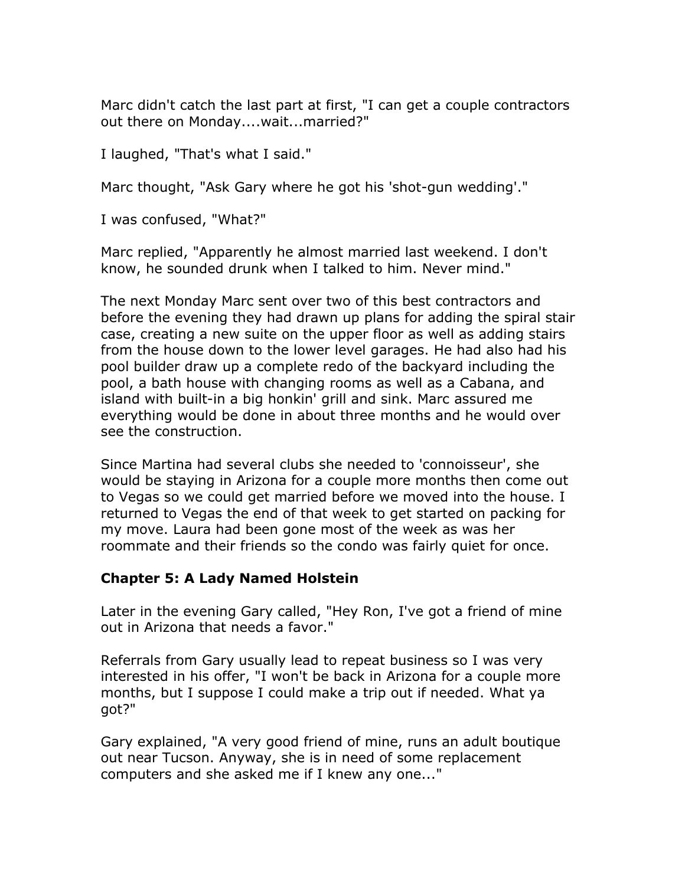Marc didn't catch the last part at first, "I can get a couple contractors out there on Monday....wait...married?"

I laughed, "That's what I said."

Marc thought, "Ask Gary where he got his 'shot-gun wedding'."

I was confused, "What?"

Marc replied, "Apparently he almost married last weekend. I don't know, he sounded drunk when I talked to him. Never mind."

The next Monday Marc sent over two of this best contractors and before the evening they had drawn up plans for adding the spiral stair case, creating a new suite on the upper floor as well as adding stairs from the house down to the lower level garages. He had also had his pool builder draw up a complete redo of the backyard including the pool, a bath house with changing rooms as well as a Cabana, and island with built-in a big honkin' grill and sink. Marc assured me everything would be done in about three months and he would over see the construction.

Since Martina had several clubs she needed to 'connoisseur', she would be staying in Arizona for a couple more months then come out to Vegas so we could get married before we moved into the house. I returned to Vegas the end of that week to get started on packing for my move. Laura had been gone most of the week as was her roommate and their friends so the condo was fairly quiet for once.

### **Chapter 5: A Lady Named Holstein**

Later in the evening Gary called, "Hey Ron, I've got a friend of mine out in Arizona that needs a favor."

Referrals from Gary usually lead to repeat business so I was very interested in his offer, "I won't be back in Arizona for a couple more months, but I suppose I could make a trip out if needed. What ya got?"

Gary explained, "A very good friend of mine, runs an adult boutique out near Tucson. Anyway, she is in need of some replacement computers and she asked me if I knew any one..."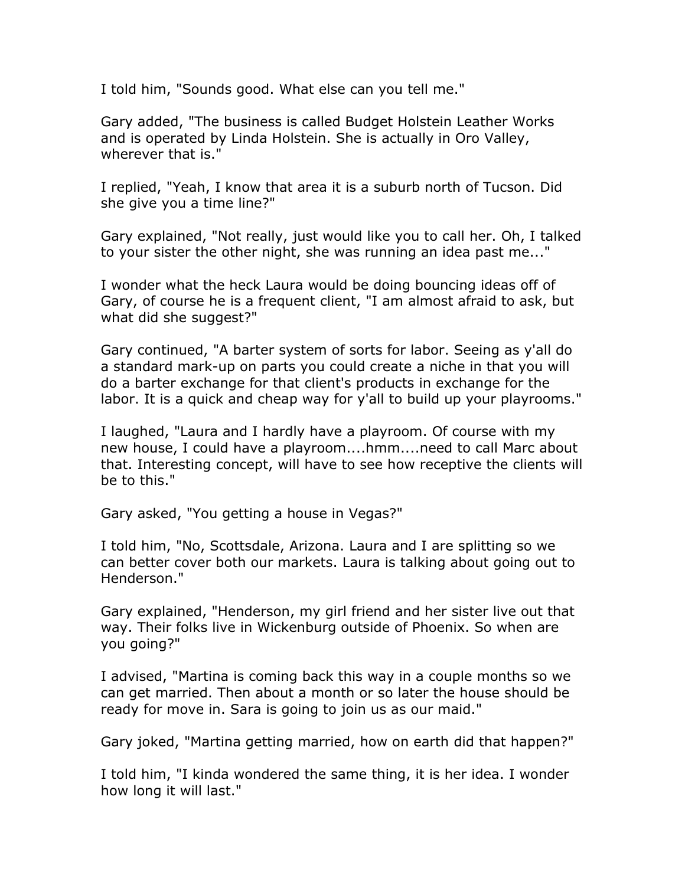I told him, "Sounds good. What else can you tell me."

Gary added, "The business is called Budget Holstein Leather Works and is operated by Linda Holstein. She is actually in Oro Valley, wherever that is."

I replied, "Yeah, I know that area it is a suburb north of Tucson. Did she give you a time line?"

Gary explained, "Not really, just would like you to call her. Oh, I talked to your sister the other night, she was running an idea past me..."

I wonder what the heck Laura would be doing bouncing ideas off of Gary, of course he is a frequent client, "I am almost afraid to ask, but what did she suggest?"

Gary continued, "A barter system of sorts for labor. Seeing as y'all do a standard mark-up on parts you could create a niche in that you will do a barter exchange for that client's products in exchange for the labor. It is a quick and cheap way for y'all to build up your playrooms."

I laughed, "Laura and I hardly have a playroom. Of course with my new house, I could have a playroom....hmm....need to call Marc about that. Interesting concept, will have to see how receptive the clients will be to this."

Gary asked, "You getting a house in Vegas?"

I told him, "No, Scottsdale, Arizona. Laura and I are splitting so we can better cover both our markets. Laura is talking about going out to Henderson."

Gary explained, "Henderson, my girl friend and her sister live out that way. Their folks live in Wickenburg outside of Phoenix. So when are you going?"

I advised, "Martina is coming back this way in a couple months so we can get married. Then about a month or so later the house should be ready for move in. Sara is going to join us as our maid."

Gary joked, "Martina getting married, how on earth did that happen?"

I told him, "I kinda wondered the same thing, it is her idea. I wonder how long it will last."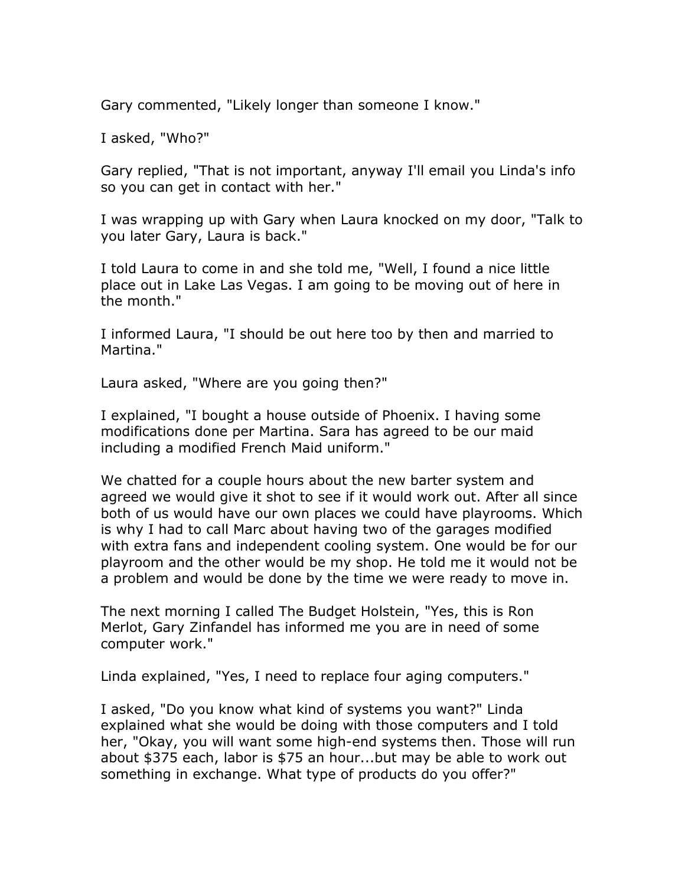Gary commented, "Likely longer than someone I know."

I asked, "Who?"

Gary replied, "That is not important, anyway I'll email you Linda's info so you can get in contact with her."

I was wrapping up with Gary when Laura knocked on my door, "Talk to you later Gary, Laura is back."

I told Laura to come in and she told me, "Well, I found a nice little place out in Lake Las Vegas. I am going to be moving out of here in the month."

I informed Laura, "I should be out here too by then and married to Martina."

Laura asked, "Where are you going then?"

I explained, "I bought a house outside of Phoenix. I having some modifications done per Martina. Sara has agreed to be our maid including a modified French Maid uniform."

We chatted for a couple hours about the new barter system and agreed we would give it shot to see if it would work out. After all since both of us would have our own places we could have playrooms. Which is why I had to call Marc about having two of the garages modified with extra fans and independent cooling system. One would be for our playroom and the other would be my shop. He told me it would not be a problem and would be done by the time we were ready to move in.

The next morning I called The Budget Holstein, "Yes, this is Ron Merlot, Gary Zinfandel has informed me you are in need of some computer work."

Linda explained, "Yes, I need to replace four aging computers."

I asked, "Do you know what kind of systems you want?" Linda explained what she would be doing with those computers and I told her, "Okay, you will want some high-end systems then. Those will run about \$375 each, labor is \$75 an hour...but may be able to work out something in exchange. What type of products do you offer?"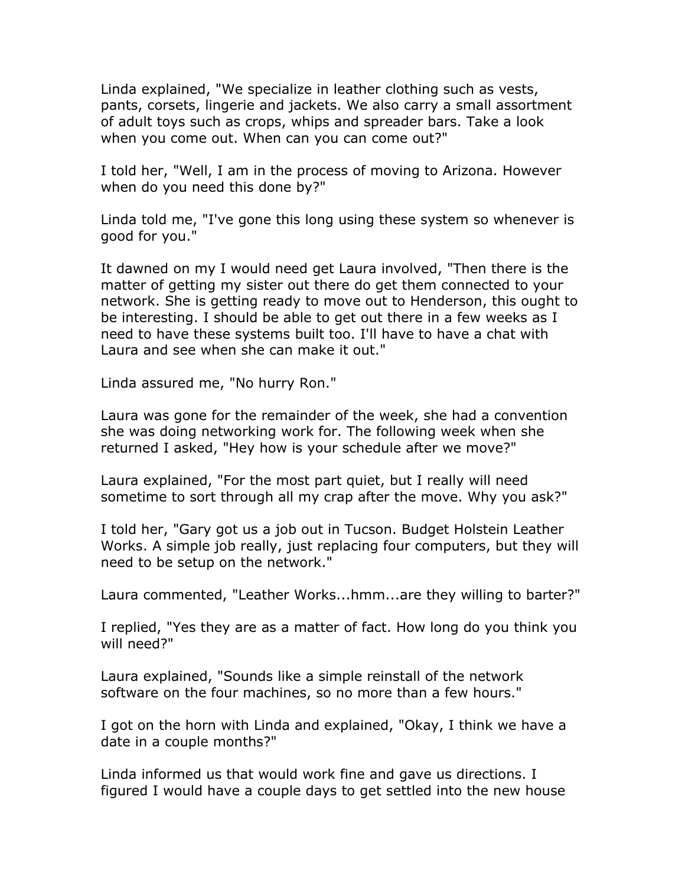Linda explained, "We specialize in leather clothing such as vests, pants, corsets, lingerie and jackets. We also carry a small assortment of adult toys such as crops, whips and spreader bars. Take a look when you come out. When can you can come out?"

I told her, "Well, I am in the process of moving to Arizona. However when do you need this done by?"

Linda told me, "I've gone this long using these system so whenever is good for you."

It dawned on my I would need get Laura involved, "Then there is the matter of getting my sister out there do get them connected to your network. She is getting ready to move out to Henderson, this ought to be interesting. I should be able to get out there in a few weeks as I need to have these systems built too. I'll have to have a chat with Laura and see when she can make it out."

Linda assured me, "No hurry Ron."

Laura was gone for the remainder of the week, she had a convention she was doing networking work for. The following week when she returned I asked, "Hey how is your schedule after we move?"

Laura explained, "For the most part quiet, but I really will need sometime to sort through all my crap after the move. Why you ask?"

I told her, "Gary got us a job out in Tucson. Budget Holstein Leather Works. A simple job really, just replacing four computers, but they will need to be setup on the network."

Laura commented, "Leather Works...hmm...are they willing to barter?"

I replied, "Yes they are as a matter of fact. How long do you think you will need?"

Laura explained, "Sounds like a simple reinstall of the network software on the four machines, so no more than a few hours."

I got on the horn with Linda and explained, "Okay, I think we have a date in a couple months?"

Linda informed us that would work fine and gave us directions. I figured I would have a couple days to get settled into the new house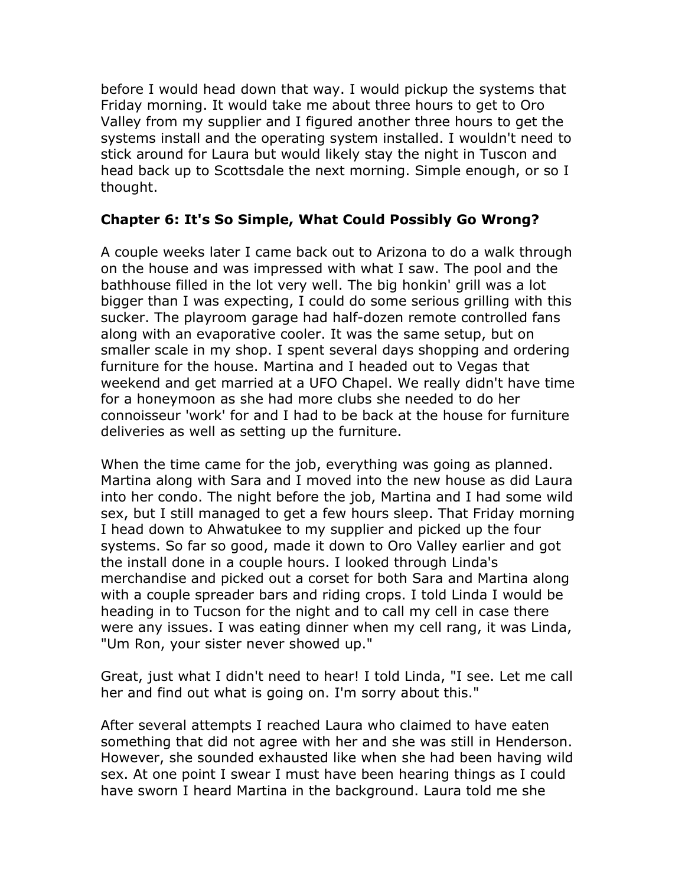before I would head down that way. I would pickup the systems that Friday morning. It would take me about three hours to get to Oro Valley from my supplier and I figured another three hours to get the systems install and the operating system installed. I wouldn't need to stick around for Laura but would likely stay the night in Tuscon and head back up to Scottsdale the next morning. Simple enough, or so I thought.

# **Chapter 6: It's So Simple, What Could Possibly Go Wrong?**

A couple weeks later I came back out to Arizona to do a walk through on the house and was impressed with what I saw. The pool and the bathhouse filled in the lot very well. The big honkin' grill was a lot bigger than I was expecting, I could do some serious grilling with this sucker. The playroom garage had half-dozen remote controlled fans along with an evaporative cooler. It was the same setup, but on smaller scale in my shop. I spent several days shopping and ordering furniture for the house. Martina and I headed out to Vegas that weekend and get married at a UFO Chapel. We really didn't have time for a honeymoon as she had more clubs she needed to do her connoisseur 'work' for and I had to be back at the house for furniture deliveries as well as setting up the furniture.

When the time came for the job, everything was going as planned. Martina along with Sara and I moved into the new house as did Laura into her condo. The night before the job, Martina and I had some wild sex, but I still managed to get a few hours sleep. That Friday morning I head down to Ahwatukee to my supplier and picked up the four systems. So far so good, made it down to Oro Valley earlier and got the install done in a couple hours. I looked through Linda's merchandise and picked out a corset for both Sara and Martina along with a couple spreader bars and riding crops. I told Linda I would be heading in to Tucson for the night and to call my cell in case there were any issues. I was eating dinner when my cell rang, it was Linda, "Um Ron, your sister never showed up."

Great, just what I didn't need to hear! I told Linda, "I see. Let me call her and find out what is going on. I'm sorry about this."

After several attempts I reached Laura who claimed to have eaten something that did not agree with her and she was still in Henderson. However, she sounded exhausted like when she had been having wild sex. At one point I swear I must have been hearing things as I could have sworn I heard Martina in the background. Laura told me she